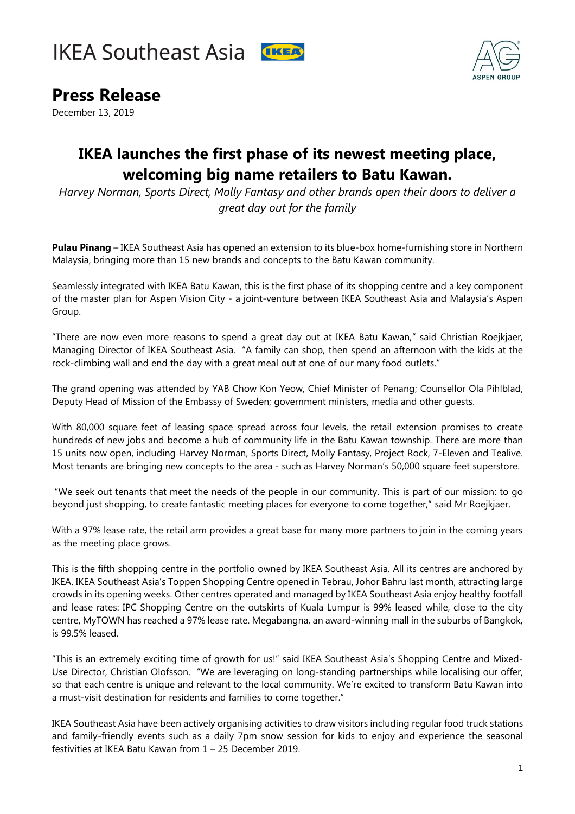



## **Press Release**

December 13, 2019

## **IKEA launches the first phase of its newest meeting place, welcoming big name retailers to Batu Kawan.**

*Harvey Norman, Sports Direct, Molly Fantasy and other brands open their doors to deliver a great day out for the family*

**Pulau Pinang** – IKEA Southeast Asia has opened an extension to its blue-box home-furnishing store in Northern Malaysia, bringing more than 15 new brands and concepts to the Batu Kawan community.

Seamlessly integrated with IKEA Batu Kawan, this is the first phase of its shopping centre and a key component of the master plan for Aspen Vision City - a joint-venture between IKEA Southeast Asia and Malaysia's Aspen Group.

"There are now even more reasons to spend a great day out at IKEA Batu Kawan," said Christian Roejkjaer, Managing Director of IKEA Southeast Asia. "A family can shop, then spend an afternoon with the kids at the rock-climbing wall and end the day with a great meal out at one of our many food outlets."

The grand opening was attended by YAB Chow Kon Yeow, Chief Minister of Penang; Counsellor Ola Pihlblad, Deputy Head of Mission of the Embassy of Sweden; government ministers, media and other guests.

With 80,000 square feet of leasing space spread across four levels, the retail extension promises to create hundreds of new jobs and become a hub of community life in the Batu Kawan township. There are more than 15 units now open, including Harvey Norman, Sports Direct, Molly Fantasy, Project Rock, 7-Eleven and Tealive. Most tenants are bringing new concepts to the area - such as Harvey Norman's 50,000 square feet superstore.

"We seek out tenants that meet the needs of the people in our community. This is part of our mission: to go beyond just shopping, to create fantastic meeting places for everyone to come together," said Mr Roejkjaer.

With a 97% lease rate, the retail arm provides a great base for many more partners to join in the coming years as the meeting place grows.

This is the fifth shopping centre in the portfolio owned by IKEA Southeast Asia. All its centres are anchored by IKEA. IKEA Southeast Asia's Toppen Shopping Centre opened in Tebrau, Johor Bahru last month, attracting large crowds in its opening weeks. Other centres operated and managed by IKEA Southeast Asia enjoy healthy footfall and lease rates: IPC Shopping Centre on the outskirts of Kuala Lumpur is 99% leased while, close to the city centre, MyTOWN has reached a 97% lease rate. Megabangna, an award-winning mall in the suburbs of Bangkok, is 99.5% leased.

"This is an extremely exciting time of growth for us!" said IKEA Southeast Asia's Shopping Centre and Mixed-Use Director, Christian Olofsson. "We are leveraging on long-standing partnerships while localising our offer, so that each centre is unique and relevant to the local community. We're excited to transform Batu Kawan into a must-visit destination for residents and families to come together."

IKEA Southeast Asia have been actively organising activities to draw visitors including regular food truck stations and family-friendly events such as a daily 7pm snow session for kids to enjoy and experience the seasonal festivities at IKEA Batu Kawan from 1 – 25 December 2019.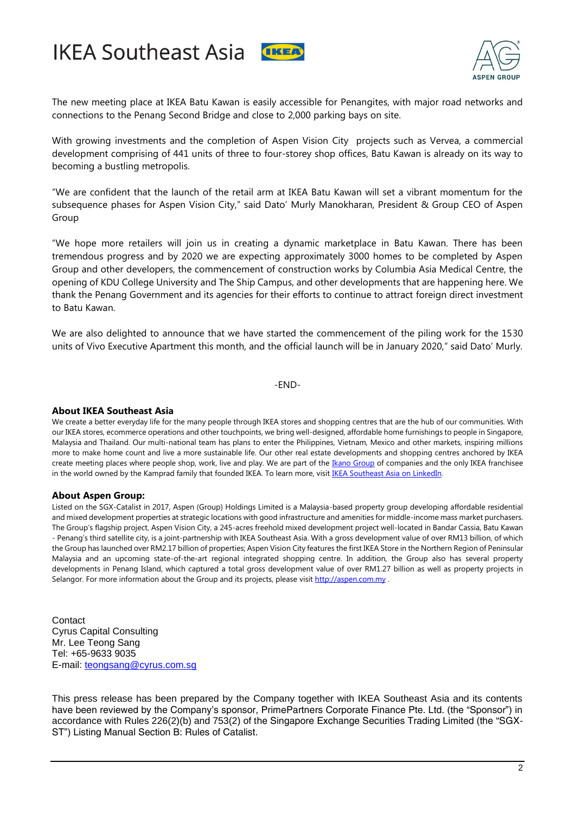





The new meeting place at IKEA Batu Kawan is easily accessible for Penangites, with major road networks and connections to the Penang Second Bridge and close to 2,000 parking bays on site.

With growing investments and the completion of Aspen Vision City projects such as Vervea, a commercial development comprising of 441 units of three to four-storey shop offices, Batu Kawan is already on its way to becoming a bustling metropolis.

"We are confident that the launch of the retail arm at IKEA Batu Kawan will set a vibrant momentum for the subsequence phases for Aspen Vision City," said Dato' Murly Manokharan, President & Group CEO of Aspen Group

"We hope more retailers will join us in creating a dynamic marketplace in Batu Kawan. There has been tremendous progress and by 2020 we are expecting approximately 3000 homes to be completed by Aspen Group and other developers, the commencement of construction works by Columbia Asia Medical Centre, the opening of KDU College University and The Ship Campus, and other developments that are happening here. We thank the Penang Government and its agencies for their efforts to continue to attract foreign direct investment to Batu Kawan.

We are also delighted to announce that we have started the commencement of the piling work for the 1530 units of Vivo Executive Apartment this month, and the official launch will be in January 2020," said Dato' Murly.

-END-

## **About IKEA Southeast Asia**

We create a better everyday life for the many people through IKEA stores and shopping centres that are the hub of our communities. With our IKEA stores, ecommerce operations and other touchpoints, we bring well-designed, affordable home furnishings to people in Singapore, Malaysia and Thailand. Our multi-national team has plans to enter the Philippines, Vietnam, Mexico and other markets, inspiring millions more to make home count and live a more sustainable life. Our other real estate developments and shopping centres anchored by IKEA create meeting places where people shop, work, live and play. We are part of th[e Ikano Group](https://group.ikano/about-ikano/) of companies and the only IKEA franchisee in the world owned by the Kamprad family that founded IKEA. To learn more, visi[t IKEA Southeast Asia on LinkedIn.](https://www.linkedin.com/company/ikea-southeast-asia/)

## **About Aspen Group:**

Listed on the SGX-Catalist in 2017, Aspen (Group) Holdings Limited is a Malaysia-based property group developing affordable residential and mixed development properties at strategic locations with good infrastructure and amenities for middle-income mass market purchasers. The Group's flagship project, Aspen Vision City, a 245-acres freehold mixed development project well-located in Bandar Cassia, Batu Kawan - Penang's third satellite city, is a joint-partnership with IKEA Southeast Asia. With a gross development value of over RM13 billion, of which the Group has launched over RM2.17 billion of properties; Aspen Vision City features the first IKEA Store in the Northern Region of Peninsular Malaysia and an upcoming state-of-the-art regional integrated shopping centre. In addition, the Group also has several property developments in Penang Island, which captured a total gross development value of over RM1.27 billion as well as property projects in Selangor. For more information about the Group and its projects, please visit [http://aspen.com.my](https://apc01.safelinks.protection.outlook.com/?url=http%3A%2F%2Faspen.com.my&data=02%7C01%7CNatasha.Aziz%40ikano.asia%7C8804fb6c1ed149c5782d08d70a712cdc%7C04d7571b148745fbba05813839b0e374%7C0%7C0%7C636989354851707158&sdata=fSx9yW1DX%2Fp%2BcP%2Bd3TBs9iAl77Hy58n12Od50%2FLfnK0%3D&reserved=0) .

**Contact** Cyrus Capital Consulting Mr. Lee Teong Sang Tel: +65-9633 9035 E-mail: [teongsang@cyrus.com.sg](mailto:teongsang@cyrus.com.sg)

This press release has been prepared by the Company together with IKEA Southeast Asia and its contents have been reviewed by the Company's sponsor, PrimePartners Corporate Finance Pte. Ltd. (the "Sponsor") in accordance with Rules 226(2)(b) and 753(2) of the Singapore Exchange Securities Trading Limited (the "SGX-ST") Listing Manual Section B: Rules of Catalist.